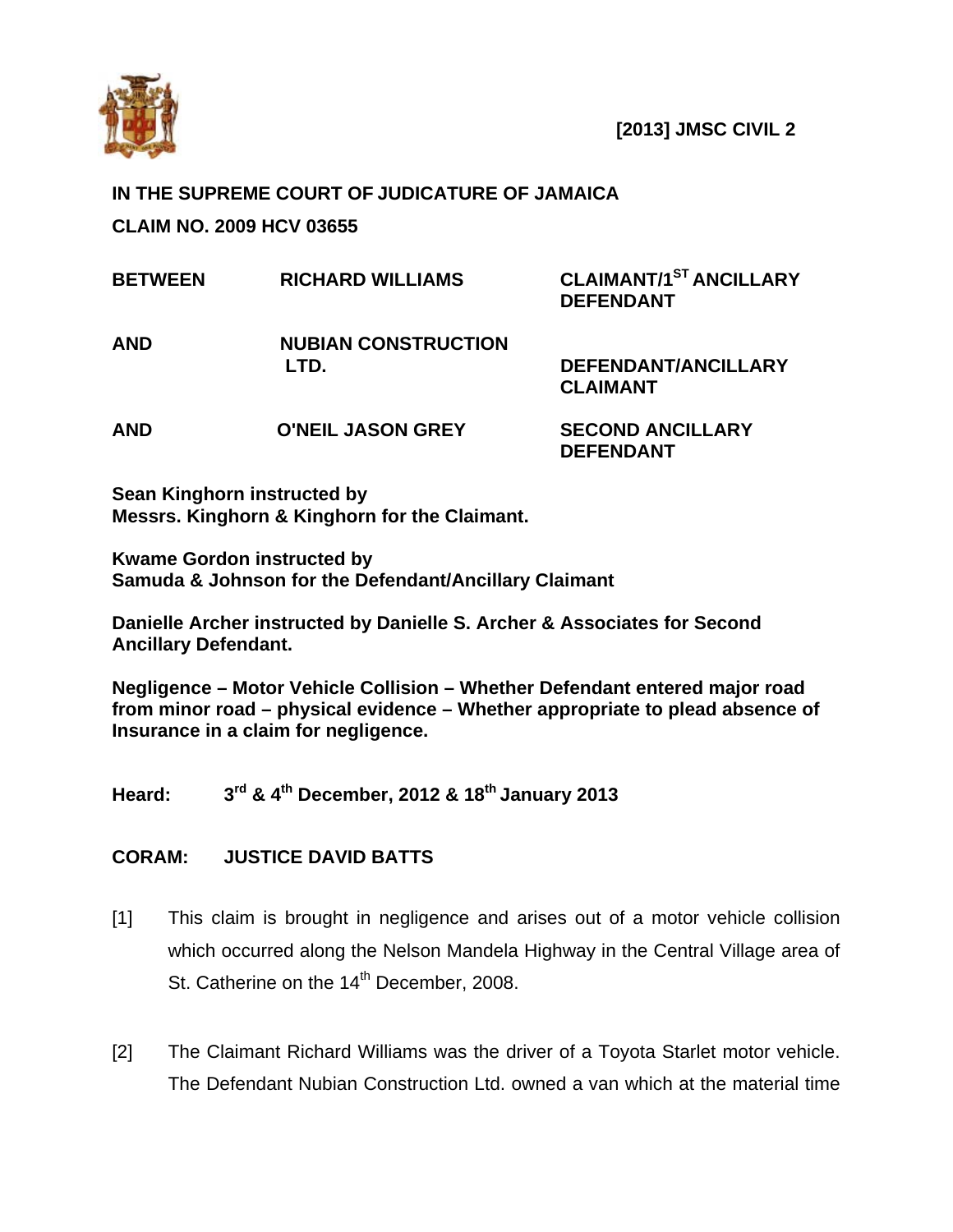

 **[2013] JMSC CIVIL 2** 

## **IN THE SUPREME COURT OF JUDICATURE OF JAMAICA CLAIM NO. 2009 HCV 03655**

| <b>BETWEEN</b> | <b>RICHARD WILLIAMS</b>            | <b>CLAIMANT/1ST ANCILLARY</b><br><b>DEFENDANT</b> |
|----------------|------------------------------------|---------------------------------------------------|
| <b>AND</b>     | <b>NUBIAN CONSTRUCTION</b><br>LTD. | DEFENDANT/ANCILLARY<br><b>CLAIMANT</b>            |
| AND            | <b>O'NEIL JASON GREY</b>           | <b>SECOND ANCILLARY</b><br><b>DEFENDANT</b>       |

**Sean Kinghorn instructed by Messrs. Kinghorn & Kinghorn for the Claimant.** 

**Kwame Gordon instructed by Samuda & Johnson for the Defendant/Ancillary Claimant** 

**Danielle Archer instructed by Danielle S. Archer & Associates for Second Ancillary Defendant.** 

**Negligence – Motor Vehicle Collision – Whether Defendant entered major road from minor road – physical evidence – Whether appropriate to plead absence of Insurance in a claim for negligence.** 

**Heard: 3rd & 4th December, 2012 & 18th January 2013** 

## **CORAM: JUSTICE DAVID BATTS**

- [1] This claim is brought in negligence and arises out of a motor vehicle collision which occurred along the Nelson Mandela Highway in the Central Village area of St. Catherine on the 14<sup>th</sup> December, 2008.
- [2] The Claimant Richard Williams was the driver of a Toyota Starlet motor vehicle. The Defendant Nubian Construction Ltd. owned a van which at the material time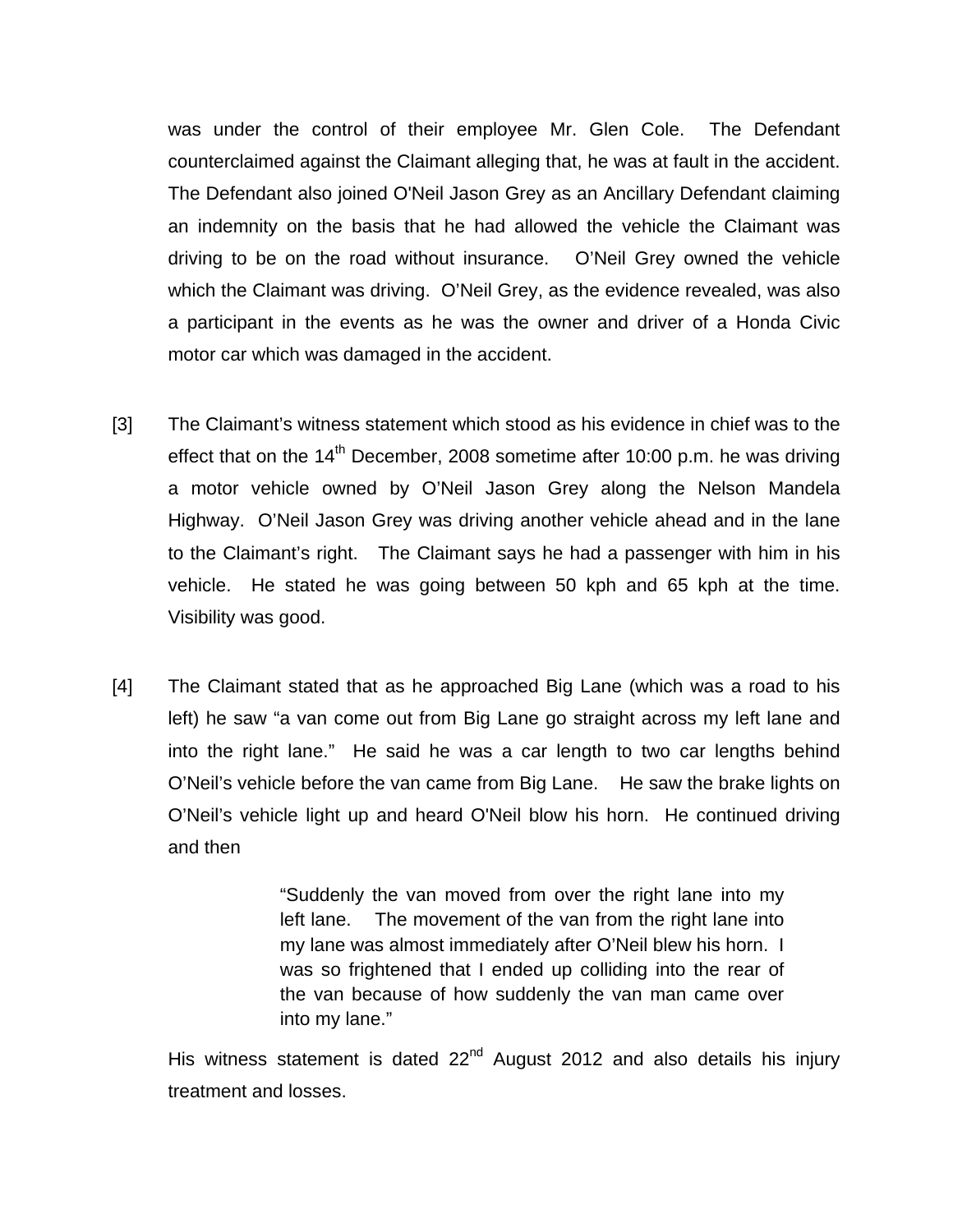was under the control of their employee Mr. Glen Cole. The Defendant counterclaimed against the Claimant alleging that, he was at fault in the accident. The Defendant also joined O'Neil Jason Grey as an Ancillary Defendant claiming an indemnity on the basis that he had allowed the vehicle the Claimant was driving to be on the road without insurance. O'Neil Grey owned the vehicle which the Claimant was driving. O'Neil Grey, as the evidence revealed, was also a participant in the events as he was the owner and driver of a Honda Civic motor car which was damaged in the accident.

- [3] The Claimant's witness statement which stood as his evidence in chief was to the effect that on the  $14<sup>th</sup>$  December, 2008 sometime after 10:00 p.m. he was driving a motor vehicle owned by O'Neil Jason Grey along the Nelson Mandela Highway. O'Neil Jason Grey was driving another vehicle ahead and in the lane to the Claimant's right. The Claimant says he had a passenger with him in his vehicle. He stated he was going between 50 kph and 65 kph at the time. Visibility was good.
- [4] The Claimant stated that as he approached Big Lane (which was a road to his left) he saw "a van come out from Big Lane go straight across my left lane and into the right lane." He said he was a car length to two car lengths behind O'Neil's vehicle before the van came from Big Lane. He saw the brake lights on O'Neil's vehicle light up and heard O'Neil blow his horn. He continued driving and then

 "Suddenly the van moved from over the right lane into my left lane. The movement of the van from the right lane into my lane was almost immediately after O'Neil blew his horn. I was so frightened that I ended up colliding into the rear of the van because of how suddenly the van man came over into my lane."

His witness statement is dated  $22<sup>nd</sup>$  August 2012 and also details his injury treatment and losses.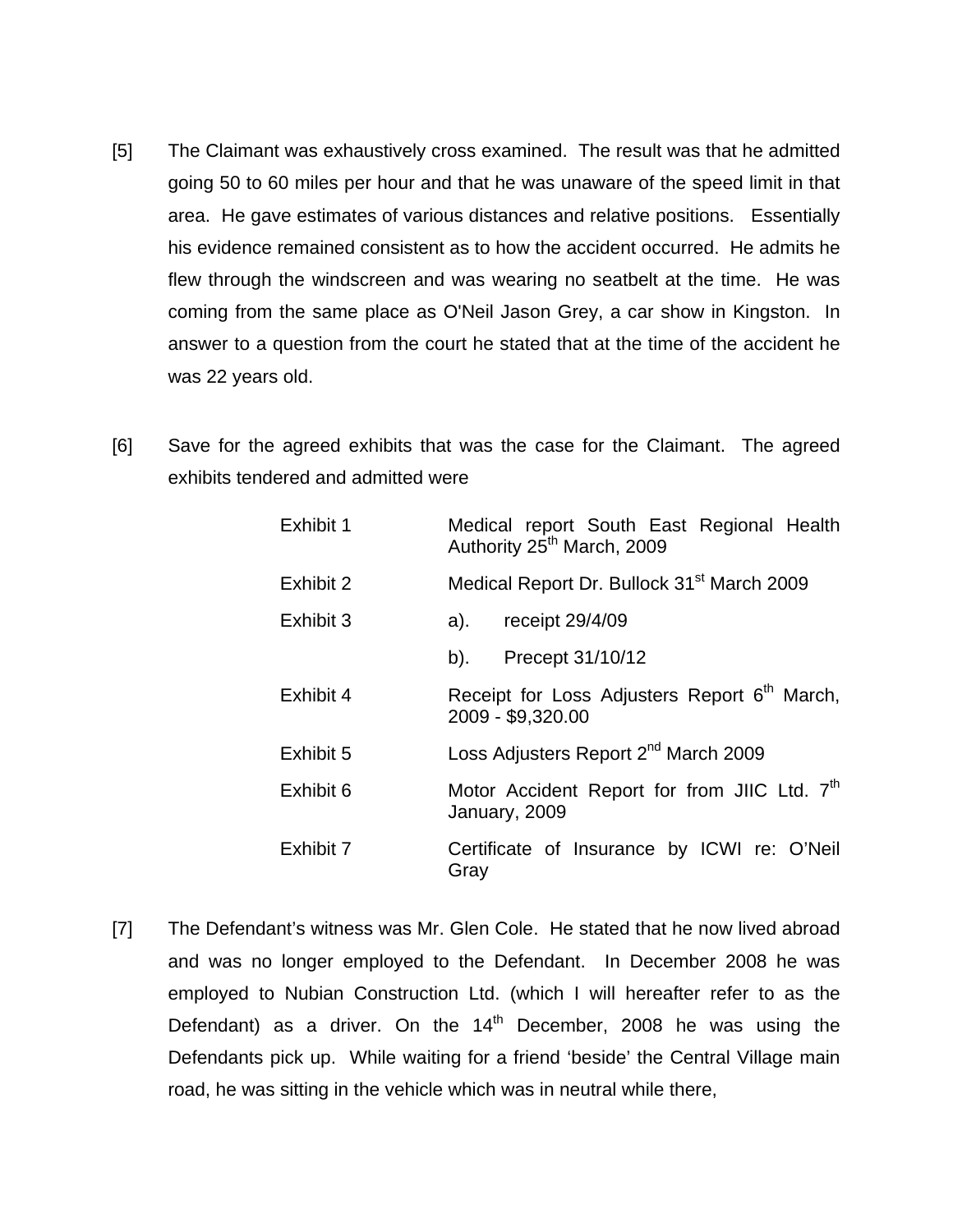- [5] The Claimant was exhaustively cross examined. The result was that he admitted going 50 to 60 miles per hour and that he was unaware of the speed limit in that area. He gave estimates of various distances and relative positions. Essentially his evidence remained consistent as to how the accident occurred. He admits he flew through the windscreen and was wearing no seatbelt at the time. He was coming from the same place as O'Neil Jason Grey, a car show in Kingston. In answer to a question from the court he stated that at the time of the accident he was 22 years old.
- [6] Save for the agreed exhibits that was the case for the Claimant. The agreed exhibits tendered and admitted were

| Exhibit 1 | Medical report South East Regional Health<br>Authority 25 <sup>th</sup> March, 2009 |  |
|-----------|-------------------------------------------------------------------------------------|--|
| Exhibit 2 | Medical Report Dr. Bullock 31 <sup>st</sup> March 2009                              |  |
| Exhibit 3 | receipt 29/4/09<br>a).                                                              |  |
|           | b). Precept $31/10/12$                                                              |  |
| Exhibit 4 | Receipt for Loss Adjusters Report 6 <sup>th</sup> March,<br>2009 - \$9,320.00       |  |
| Exhibit 5 | Loss Adjusters Report 2 <sup>nd</sup> March 2009                                    |  |
| Exhibit 6 | Motor Accident Report for from JIIC Ltd. 7 <sup>th</sup><br>January, 2009           |  |
| Exhibit 7 | Certificate of Insurance by ICWI re: O'Neil<br>Gray                                 |  |

[7] The Defendant's witness was Mr. Glen Cole. He stated that he now lived abroad and was no longer employed to the Defendant. In December 2008 he was employed to Nubian Construction Ltd. (which I will hereafter refer to as the Defendant) as a driver. On the  $14<sup>th</sup>$  December, 2008 he was using the Defendants pick up. While waiting for a friend 'beside' the Central Village main road, he was sitting in the vehicle which was in neutral while there,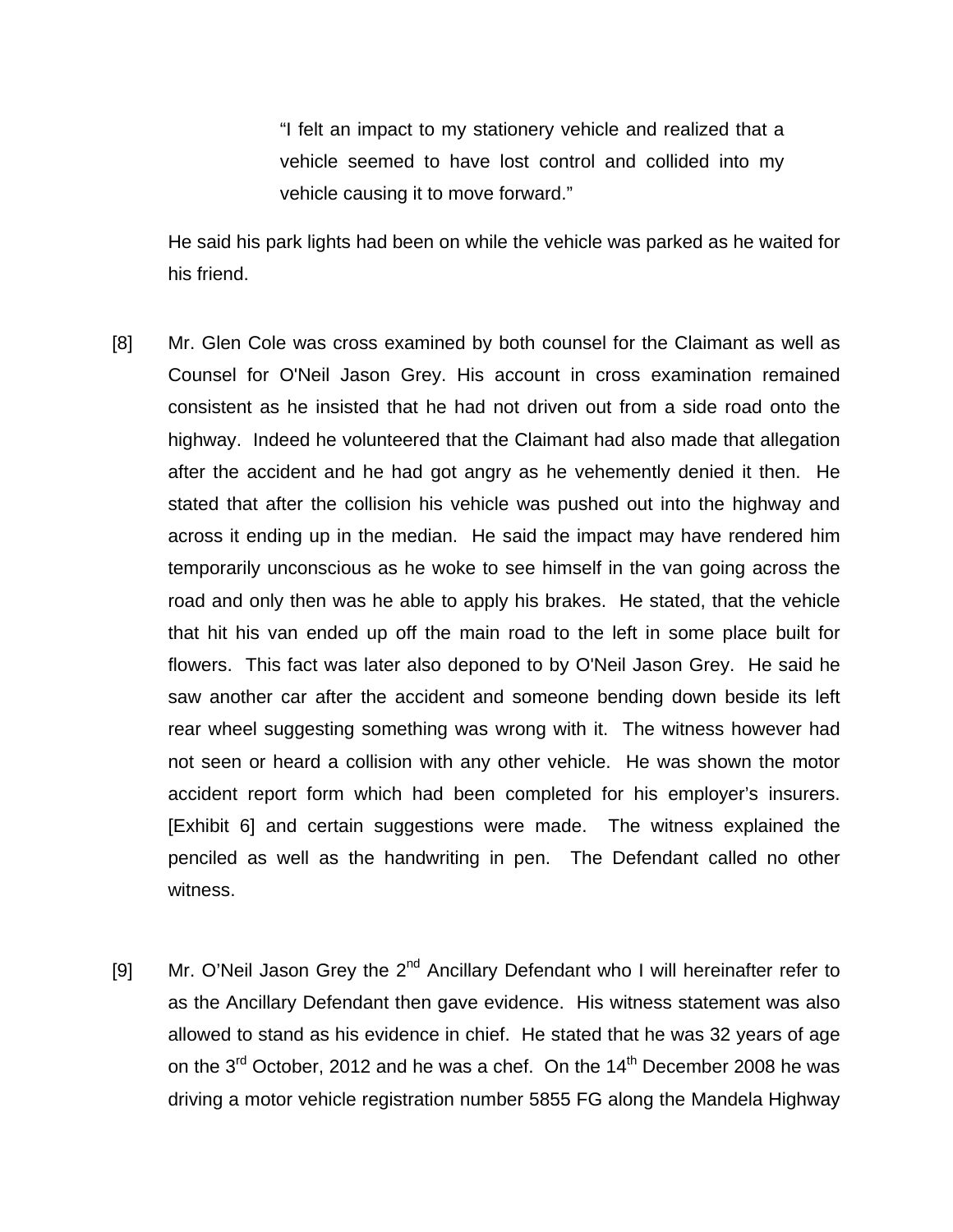"I felt an impact to my stationery vehicle and realized that a vehicle seemed to have lost control and collided into my vehicle causing it to move forward."

He said his park lights had been on while the vehicle was parked as he waited for his friend.

- [8] Mr. Glen Cole was cross examined by both counsel for the Claimant as well as Counsel for O'Neil Jason Grey. His account in cross examination remained consistent as he insisted that he had not driven out from a side road onto the highway. Indeed he volunteered that the Claimant had also made that allegation after the accident and he had got angry as he vehemently denied it then. He stated that after the collision his vehicle was pushed out into the highway and across it ending up in the median. He said the impact may have rendered him temporarily unconscious as he woke to see himself in the van going across the road and only then was he able to apply his brakes. He stated, that the vehicle that hit his van ended up off the main road to the left in some place built for flowers. This fact was later also deponed to by O'Neil Jason Grey. He said he saw another car after the accident and someone bending down beside its left rear wheel suggesting something was wrong with it. The witness however had not seen or heard a collision with any other vehicle. He was shown the motor accident report form which had been completed for his employer's insurers. [Exhibit 6] and certain suggestions were made. The witness explained the penciled as well as the handwriting in pen. The Defendant called no other witness.
- [9] Mr. O'Neil Jason Grey the  $2^{nd}$  Ancillary Defendant who I will hereinafter refer to as the Ancillary Defendant then gave evidence. His witness statement was also allowed to stand as his evidence in chief. He stated that he was 32 years of age on the  $3^{rd}$  October, 2012 and he was a chef. On the  $14^{th}$  December 2008 he was driving a motor vehicle registration number 5855 FG along the Mandela Highway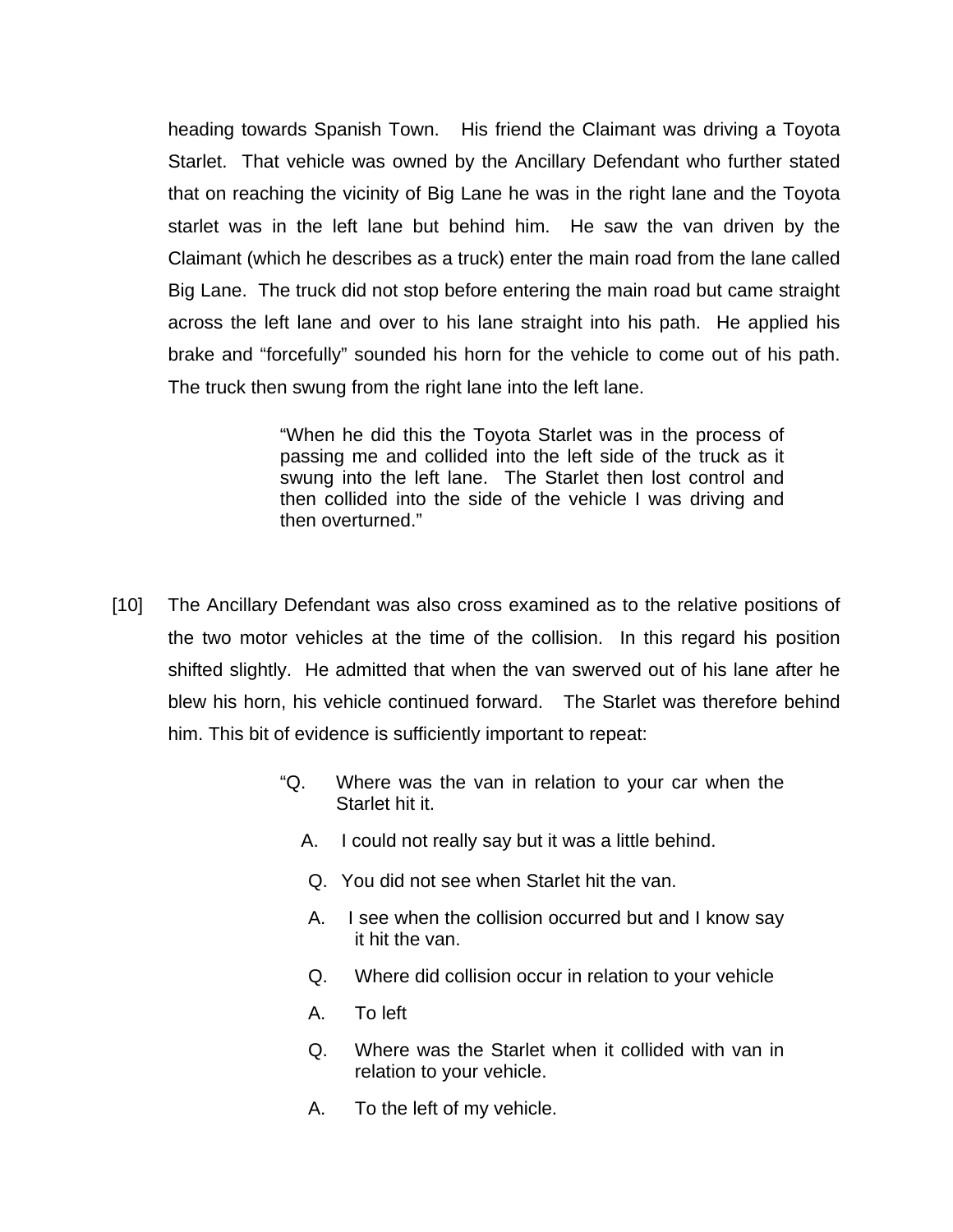heading towards Spanish Town. His friend the Claimant was driving a Toyota Starlet. That vehicle was owned by the Ancillary Defendant who further stated that on reaching the vicinity of Big Lane he was in the right lane and the Toyota starlet was in the left lane but behind him. He saw the van driven by the Claimant (which he describes as a truck) enter the main road from the lane called Big Lane. The truck did not stop before entering the main road but came straight across the left lane and over to his lane straight into his path. He applied his brake and "forcefully" sounded his horn for the vehicle to come out of his path. The truck then swung from the right lane into the left lane.

> "When he did this the Toyota Starlet was in the process of passing me and collided into the left side of the truck as it swung into the left lane. The Starlet then lost control and then collided into the side of the vehicle I was driving and then overturned."

- [10] The Ancillary Defendant was also cross examined as to the relative positions of the two motor vehicles at the time of the collision. In this regard his position shifted slightly. He admitted that when the van swerved out of his lane after he blew his horn, his vehicle continued forward. The Starlet was therefore behind him. This bit of evidence is sufficiently important to repeat:
	- "Q. Where was the van in relation to your car when the Starlet hit it.
		- A. I could not really say but it was a little behind.
		- Q. You did not see when Starlet hit the van.
		- A. I see when the collision occurred but and I know say it hit the van.
		- Q. Where did collision occur in relation to your vehicle
		- A. To left
		- Q. Where was the Starlet when it collided with van in relation to your vehicle.
		- A. To the left of my vehicle.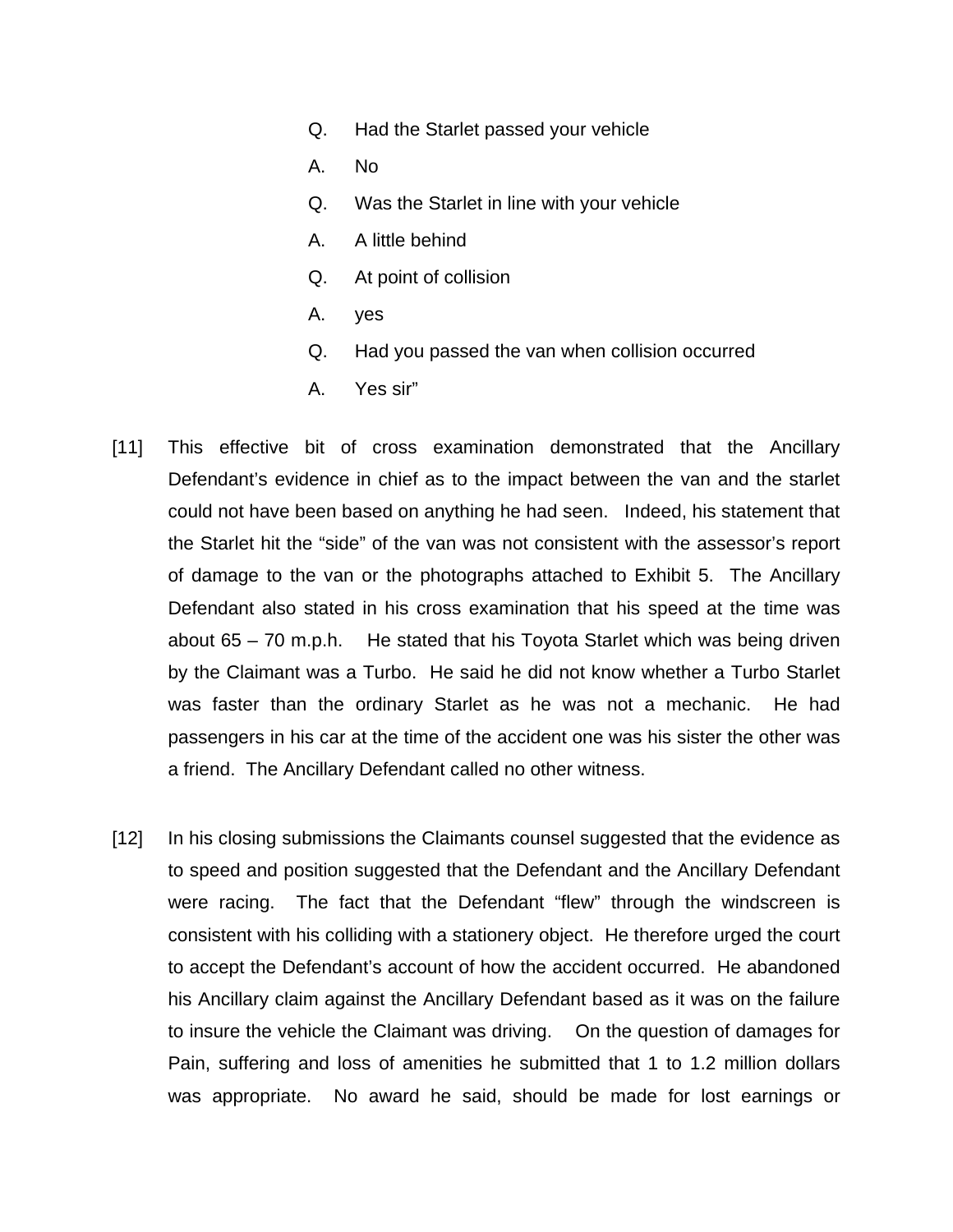- Q. Had the Starlet passed your vehicle
- A. No
- Q. Was the Starlet in line with your vehicle
- A. A little behind
- Q. At point of collision
- A. yes
- Q. Had you passed the van when collision occurred
- A. Yes sir"
- [11] This effective bit of cross examination demonstrated that the Ancillary Defendant's evidence in chief as to the impact between the van and the starlet could not have been based on anything he had seen. Indeed, his statement that the Starlet hit the "side" of the van was not consistent with the assessor's report of damage to the van or the photographs attached to Exhibit 5. The Ancillary Defendant also stated in his cross examination that his speed at the time was about 65 – 70 m.p.h. He stated that his Toyota Starlet which was being driven by the Claimant was a Turbo. He said he did not know whether a Turbo Starlet was faster than the ordinary Starlet as he was not a mechanic. He had passengers in his car at the time of the accident one was his sister the other was a friend. The Ancillary Defendant called no other witness.
- [12] In his closing submissions the Claimants counsel suggested that the evidence as to speed and position suggested that the Defendant and the Ancillary Defendant were racing. The fact that the Defendant "flew" through the windscreen is consistent with his colliding with a stationery object. He therefore urged the court to accept the Defendant's account of how the accident occurred. He abandoned his Ancillary claim against the Ancillary Defendant based as it was on the failure to insure the vehicle the Claimant was driving. On the question of damages for Pain, suffering and loss of amenities he submitted that 1 to 1.2 million dollars was appropriate. No award he said, should be made for lost earnings or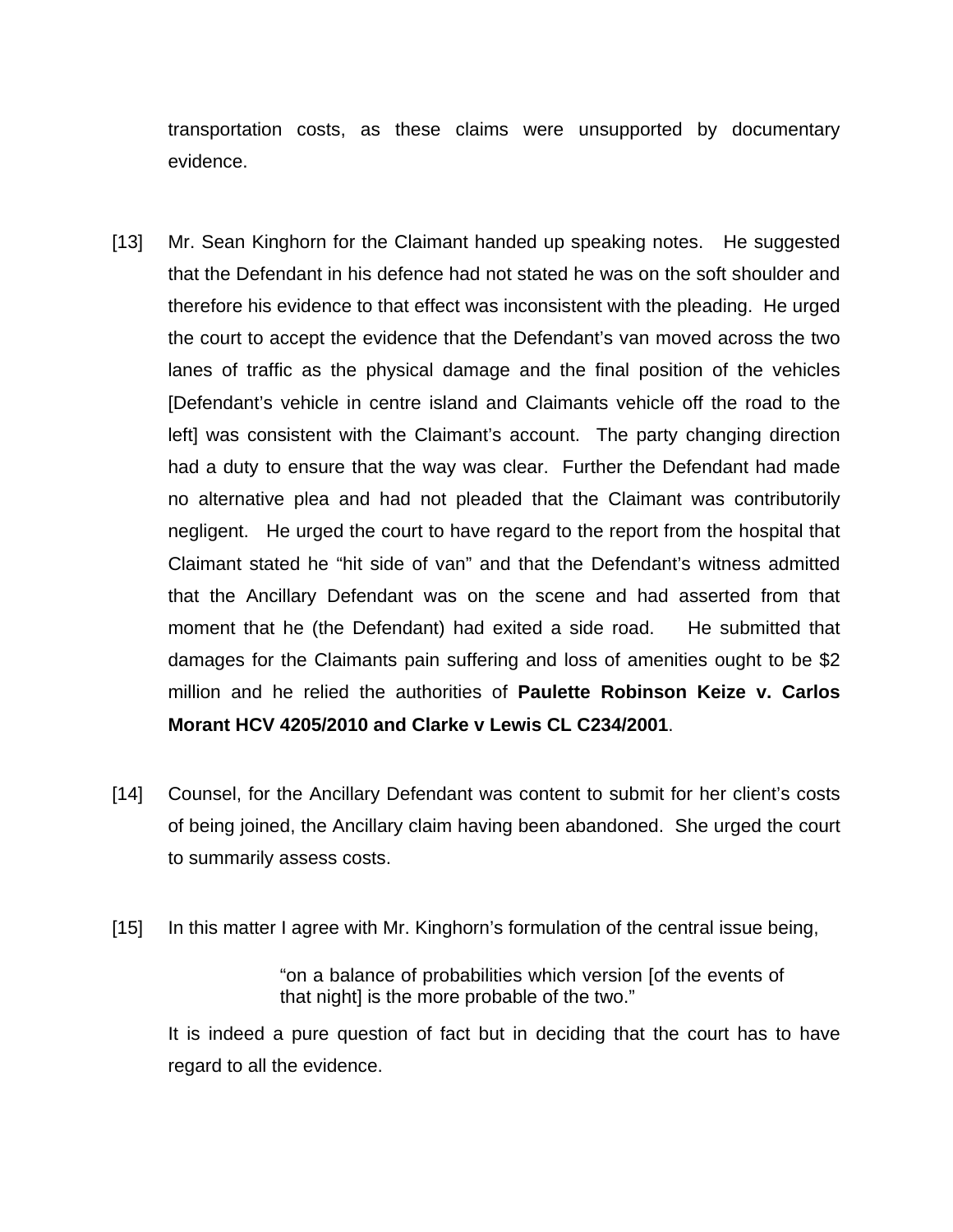transportation costs, as these claims were unsupported by documentary evidence.

- [13] Mr. Sean Kinghorn for the Claimant handed up speaking notes. He suggested that the Defendant in his defence had not stated he was on the soft shoulder and therefore his evidence to that effect was inconsistent with the pleading. He urged the court to accept the evidence that the Defendant's van moved across the two lanes of traffic as the physical damage and the final position of the vehicles [Defendant's vehicle in centre island and Claimants vehicle off the road to the left] was consistent with the Claimant's account. The party changing direction had a duty to ensure that the way was clear. Further the Defendant had made no alternative plea and had not pleaded that the Claimant was contributorily negligent. He urged the court to have regard to the report from the hospital that Claimant stated he "hit side of van" and that the Defendant's witness admitted that the Ancillary Defendant was on the scene and had asserted from that moment that he (the Defendant) had exited a side road. He submitted that damages for the Claimants pain suffering and loss of amenities ought to be \$2 million and he relied the authorities of **Paulette Robinson Keize v. Carlos Morant HCV 4205/2010 and Clarke v Lewis CL C234/2001**.
- [14] Counsel, for the Ancillary Defendant was content to submit for her client's costs of being joined, the Ancillary claim having been abandoned. She urged the court to summarily assess costs.
- [15] In this matter I agree with Mr. Kinghorn's formulation of the central issue being,

"on a balance of probabilities which version [of the events of that night] is the more probable of the two."

It is indeed a pure question of fact but in deciding that the court has to have regard to all the evidence.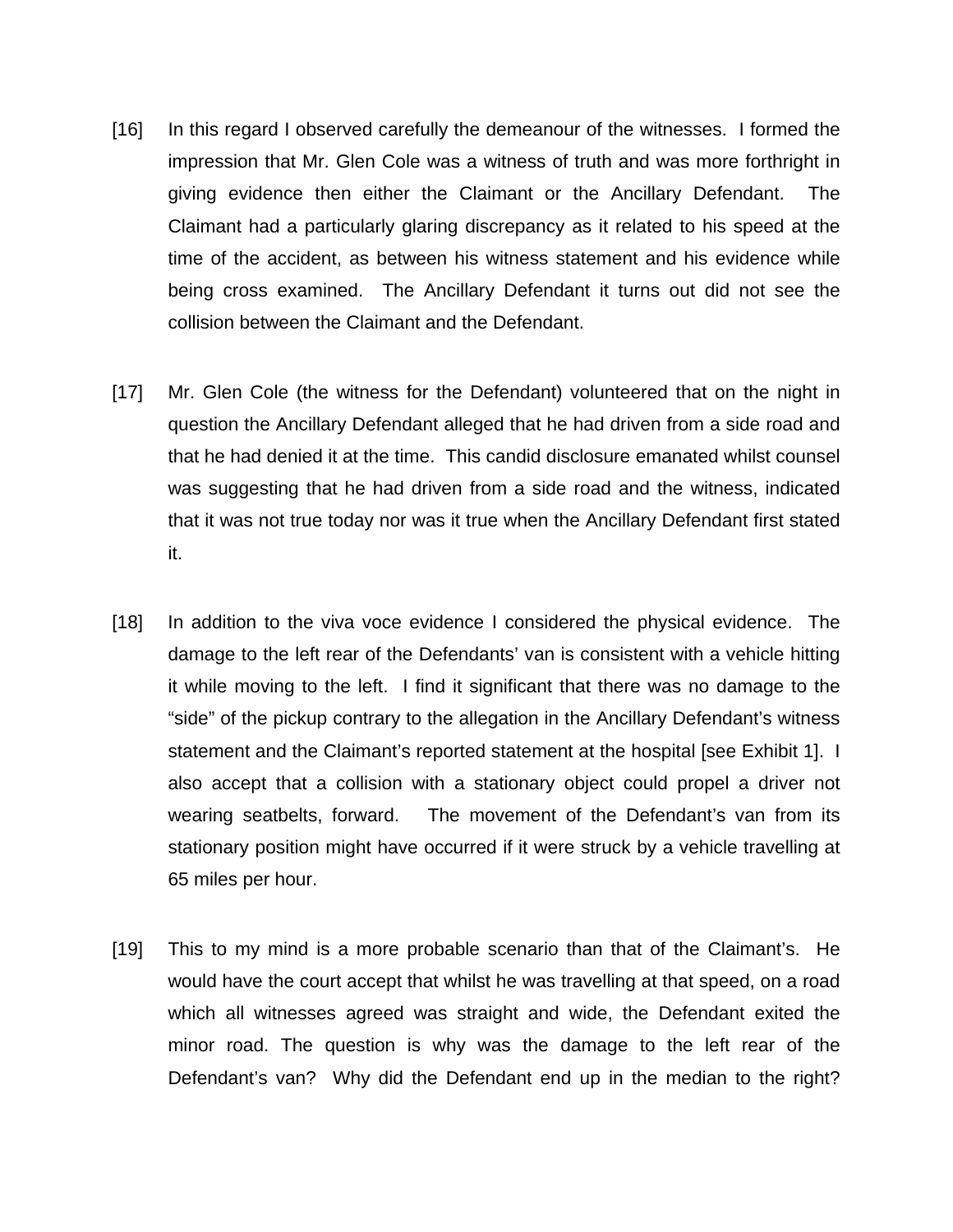- [16] In this regard I observed carefully the demeanour of the witnesses. I formed the impression that Mr. Glen Cole was a witness of truth and was more forthright in giving evidence then either the Claimant or the Ancillary Defendant. The Claimant had a particularly glaring discrepancy as it related to his speed at the time of the accident, as between his witness statement and his evidence while being cross examined. The Ancillary Defendant it turns out did not see the collision between the Claimant and the Defendant.
- [17] Mr. Glen Cole (the witness for the Defendant) volunteered that on the night in question the Ancillary Defendant alleged that he had driven from a side road and that he had denied it at the time. This candid disclosure emanated whilst counsel was suggesting that he had driven from a side road and the witness, indicated that it was not true today nor was it true when the Ancillary Defendant first stated it.
- [18] In addition to the viva voce evidence I considered the physical evidence. The damage to the left rear of the Defendants' van is consistent with a vehicle hitting it while moving to the left. I find it significant that there was no damage to the "side" of the pickup contrary to the allegation in the Ancillary Defendant's witness statement and the Claimant's reported statement at the hospital [see Exhibit 1]. I also accept that a collision with a stationary object could propel a driver not wearing seatbelts, forward. The movement of the Defendant's van from its stationary position might have occurred if it were struck by a vehicle travelling at 65 miles per hour.
- [19] This to my mind is a more probable scenario than that of the Claimant's. He would have the court accept that whilst he was travelling at that speed, on a road which all witnesses agreed was straight and wide, the Defendant exited the minor road. The question is why was the damage to the left rear of the Defendant's van? Why did the Defendant end up in the median to the right?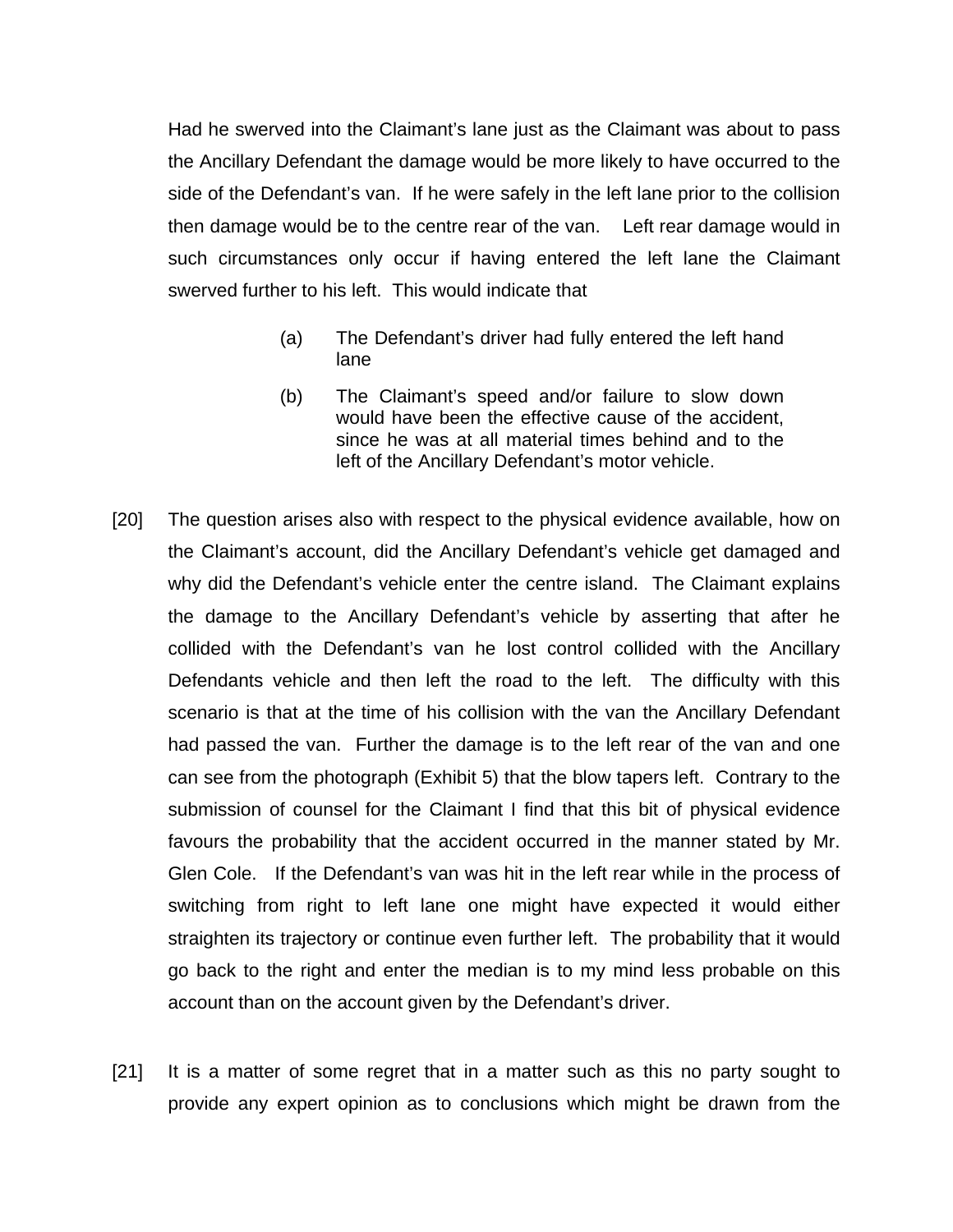Had he swerved into the Claimant's lane just as the Claimant was about to pass the Ancillary Defendant the damage would be more likely to have occurred to the side of the Defendant's van. If he were safely in the left lane prior to the collision then damage would be to the centre rear of the van. Left rear damage would in such circumstances only occur if having entered the left lane the Claimant swerved further to his left. This would indicate that

- (a) The Defendant's driver had fully entered the left hand lane
- (b) The Claimant's speed and/or failure to slow down would have been the effective cause of the accident, since he was at all material times behind and to the left of the Ancillary Defendant's motor vehicle.
- [20] The question arises also with respect to the physical evidence available, how on the Claimant's account, did the Ancillary Defendant's vehicle get damaged and why did the Defendant's vehicle enter the centre island. The Claimant explains the damage to the Ancillary Defendant's vehicle by asserting that after he collided with the Defendant's van he lost control collided with the Ancillary Defendants vehicle and then left the road to the left. The difficulty with this scenario is that at the time of his collision with the van the Ancillary Defendant had passed the van. Further the damage is to the left rear of the van and one can see from the photograph (Exhibit 5) that the blow tapers left. Contrary to the submission of counsel for the Claimant I find that this bit of physical evidence favours the probability that the accident occurred in the manner stated by Mr. Glen Cole. If the Defendant's van was hit in the left rear while in the process of switching from right to left lane one might have expected it would either straighten its trajectory or continue even further left. The probability that it would go back to the right and enter the median is to my mind less probable on this account than on the account given by the Defendant's driver.
- [21] It is a matter of some regret that in a matter such as this no party sought to provide any expert opinion as to conclusions which might be drawn from the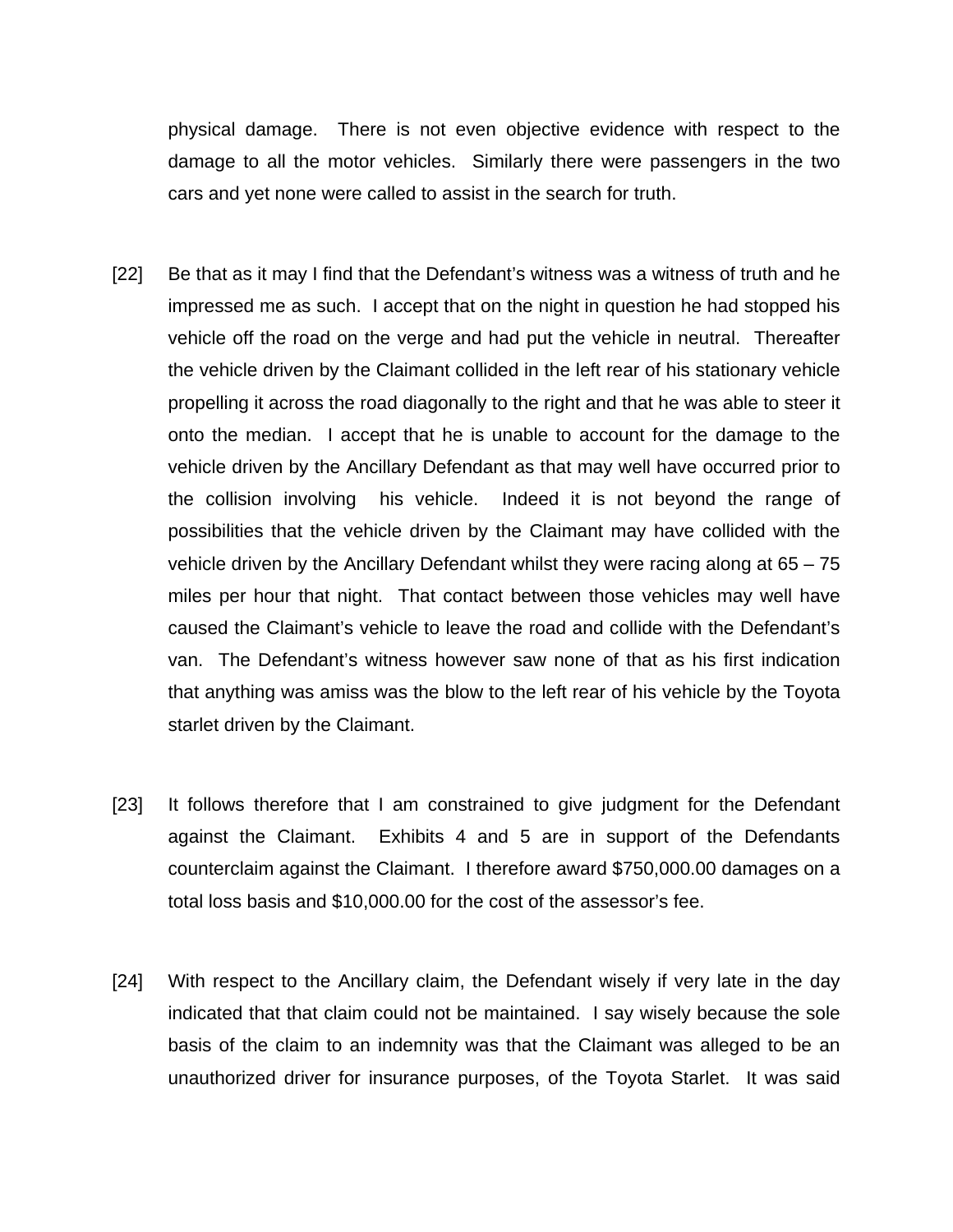physical damage. There is not even objective evidence with respect to the damage to all the motor vehicles. Similarly there were passengers in the two cars and yet none were called to assist in the search for truth.

- [22] Be that as it may I find that the Defendant's witness was a witness of truth and he impressed me as such. I accept that on the night in question he had stopped his vehicle off the road on the verge and had put the vehicle in neutral. Thereafter the vehicle driven by the Claimant collided in the left rear of his stationary vehicle propelling it across the road diagonally to the right and that he was able to steer it onto the median. I accept that he is unable to account for the damage to the vehicle driven by the Ancillary Defendant as that may well have occurred prior to the collision involving his vehicle. Indeed it is not beyond the range of possibilities that the vehicle driven by the Claimant may have collided with the vehicle driven by the Ancillary Defendant whilst they were racing along at 65 – 75 miles per hour that night. That contact between those vehicles may well have caused the Claimant's vehicle to leave the road and collide with the Defendant's van. The Defendant's witness however saw none of that as his first indication that anything was amiss was the blow to the left rear of his vehicle by the Toyota starlet driven by the Claimant.
- [23] It follows therefore that I am constrained to give judgment for the Defendant against the Claimant. Exhibits 4 and 5 are in support of the Defendants counterclaim against the Claimant. I therefore award \$750,000.00 damages on a total loss basis and \$10,000.00 for the cost of the assessor's fee.
- [24] With respect to the Ancillary claim, the Defendant wisely if very late in the day indicated that that claim could not be maintained. I say wisely because the sole basis of the claim to an indemnity was that the Claimant was alleged to be an unauthorized driver for insurance purposes, of the Toyota Starlet. It was said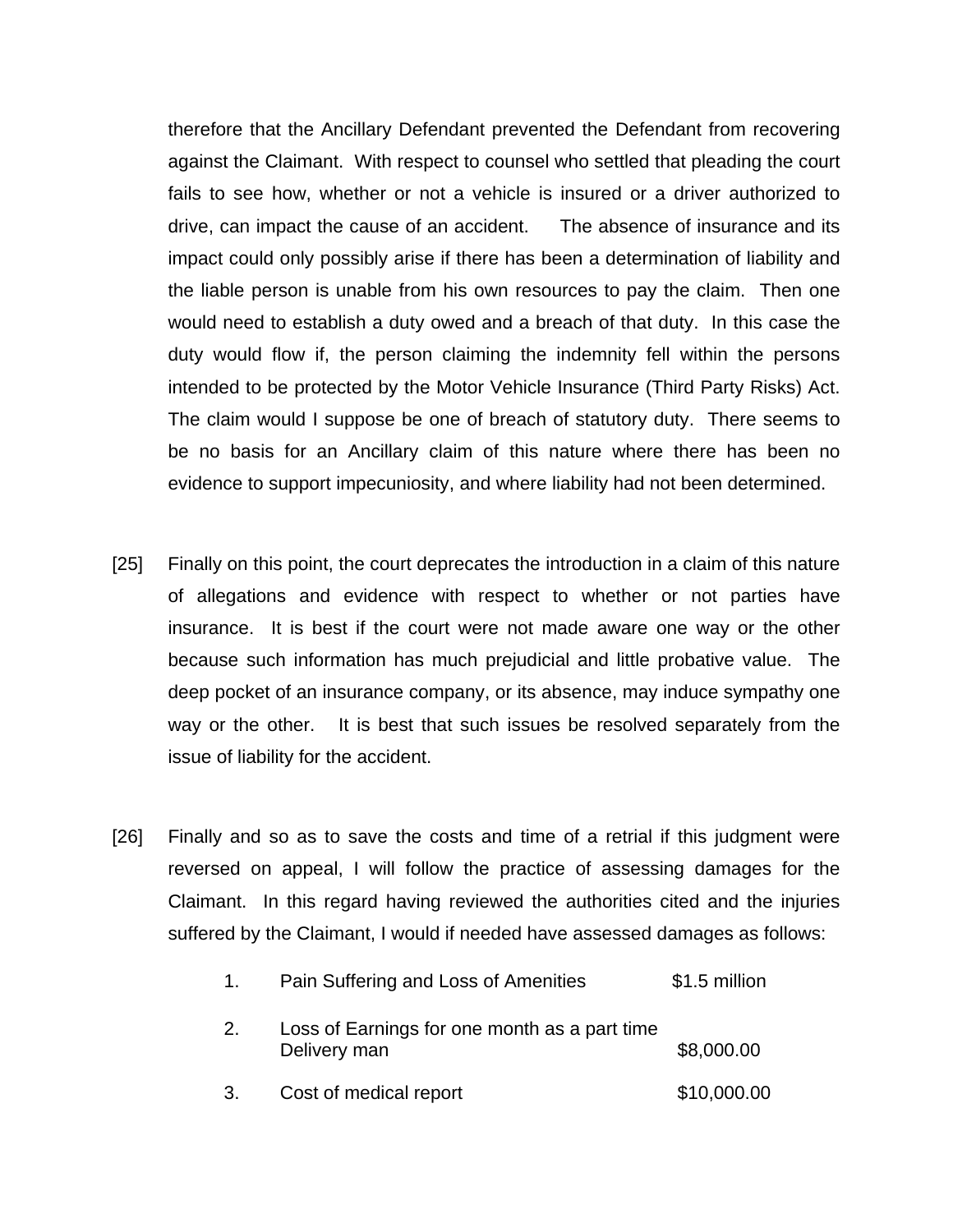therefore that the Ancillary Defendant prevented the Defendant from recovering against the Claimant. With respect to counsel who settled that pleading the court fails to see how, whether or not a vehicle is insured or a driver authorized to drive, can impact the cause of an accident. The absence of insurance and its impact could only possibly arise if there has been a determination of liability and the liable person is unable from his own resources to pay the claim. Then one would need to establish a duty owed and a breach of that duty. In this case the duty would flow if, the person claiming the indemnity fell within the persons intended to be protected by the Motor Vehicle Insurance (Third Party Risks) Act. The claim would I suppose be one of breach of statutory duty. There seems to be no basis for an Ancillary claim of this nature where there has been no evidence to support impecuniosity, and where liability had not been determined.

- [25] Finally on this point, the court deprecates the introduction in a claim of this nature of allegations and evidence with respect to whether or not parties have insurance. It is best if the court were not made aware one way or the other because such information has much prejudicial and little probative value. The deep pocket of an insurance company, or its absence, may induce sympathy one way or the other. It is best that such issues be resolved separately from the issue of liability for the accident.
- [26] Finally and so as to save the costs and time of a retrial if this judgment were reversed on appeal, I will follow the practice of assessing damages for the Claimant. In this regard having reviewed the authorities cited and the injuries suffered by the Claimant, I would if needed have assessed damages as follows:

| $1_{-}$ | Pain Suffering and Loss of Amenities                          | \$1.5 million |
|---------|---------------------------------------------------------------|---------------|
| 2.      | Loss of Earnings for one month as a part time<br>Delivery man | \$8,000.00    |
| 3.      | Cost of medical report                                        | \$10,000.00   |